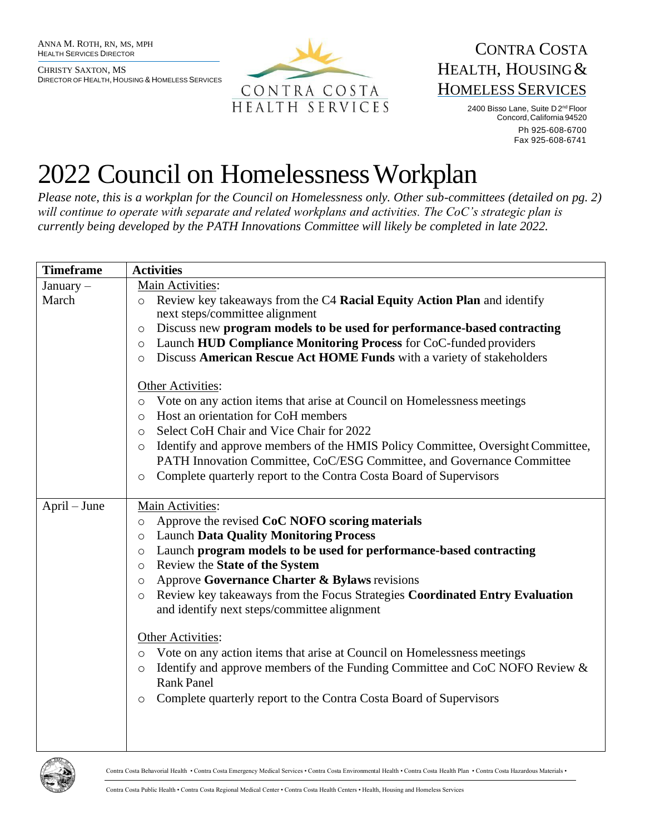CHRISTY SAXTON, MS DIRECTOR OF HEALTH, HOUSING & HOMELESS SERVICES



## CONTRA COSTA HEALTH, HOUSING& HOMELESS SERVICES

2400 Bisso Lane, Suite D 2<sup>nd</sup> Floor Concord,California 94520 Ph 925-608-6700 Fax 925-608-6741

## 2022 Council on Homelessness Workplan

*Please note, this is a workplan for the Council on Homelessness only. Other sub-committees (detailed on pg. 2) will continue to operate with separate and related workplans and activities. The CoC's strategic plan is currently being developed by the PATH Innovations Committee will likely be completed in late 2022.*

| <b>Timeframe</b> | <b>Activities</b>                                                                                                                                                                                                                                                                                                                                                                                                                                                         |
|------------------|---------------------------------------------------------------------------------------------------------------------------------------------------------------------------------------------------------------------------------------------------------------------------------------------------------------------------------------------------------------------------------------------------------------------------------------------------------------------------|
| January -        | Main Activities:                                                                                                                                                                                                                                                                                                                                                                                                                                                          |
| March            | Review key takeaways from the C4 Racial Equity Action Plan and identify<br>$\circ$<br>next steps/committee alignment                                                                                                                                                                                                                                                                                                                                                      |
|                  | Discuss new program models to be used for performance-based contracting<br>$\circ$                                                                                                                                                                                                                                                                                                                                                                                        |
|                  | Launch HUD Compliance Monitoring Process for CoC-funded providers<br>$\circ$                                                                                                                                                                                                                                                                                                                                                                                              |
|                  | Discuss American Rescue Act HOME Funds with a variety of stakeholders<br>$\circ$                                                                                                                                                                                                                                                                                                                                                                                          |
|                  | Other Activities:<br>Vote on any action items that arise at Council on Homelessness meetings<br>$\circ$<br>Host an orientation for CoH members<br>$\circ$<br>Select CoH Chair and Vice Chair for 2022<br>$\circ$<br>Identify and approve members of the HMIS Policy Committee, Oversight Committee,<br>$\circ$<br>PATH Innovation Committee, CoC/ESG Committee, and Governance Committee<br>Complete quarterly report to the Contra Costa Board of Supervisors<br>$\circ$ |
| April – June     | Main Activities:                                                                                                                                                                                                                                                                                                                                                                                                                                                          |
|                  | Approve the revised CoC NOFO scoring materials<br>$\circ$                                                                                                                                                                                                                                                                                                                                                                                                                 |
|                  | <b>Launch Data Quality Monitoring Process</b><br>$\circ$                                                                                                                                                                                                                                                                                                                                                                                                                  |
|                  | Launch program models to be used for performance-based contracting<br>$\circ$                                                                                                                                                                                                                                                                                                                                                                                             |
|                  | Review the State of the System<br>$\circ$                                                                                                                                                                                                                                                                                                                                                                                                                                 |
|                  | Approve Governance Charter & Bylaws revisions<br>$\circ$                                                                                                                                                                                                                                                                                                                                                                                                                  |
|                  | Review key takeaways from the Focus Strategies Coordinated Entry Evaluation<br>$\circ$                                                                                                                                                                                                                                                                                                                                                                                    |
|                  | and identify next steps/committee alignment                                                                                                                                                                                                                                                                                                                                                                                                                               |
|                  | Other Activities:                                                                                                                                                                                                                                                                                                                                                                                                                                                         |
|                  | Vote on any action items that arise at Council on Homelessness meetings<br>$\circ$                                                                                                                                                                                                                                                                                                                                                                                        |
|                  | Identify and approve members of the Funding Committee and CoC NOFO Review &<br>$\circ$                                                                                                                                                                                                                                                                                                                                                                                    |
|                  | <b>Rank Panel</b>                                                                                                                                                                                                                                                                                                                                                                                                                                                         |
|                  | Complete quarterly report to the Contra Costa Board of Supervisors<br>O                                                                                                                                                                                                                                                                                                                                                                                                   |
|                  |                                                                                                                                                                                                                                                                                                                                                                                                                                                                           |
|                  |                                                                                                                                                                                                                                                                                                                                                                                                                                                                           |



Contra Costa Behavorial Health • Contra Costa Emergency Medical Services • Contra Costa Environmental Health • Contra Costa Health Plan • Contra Costa Hazardous Materials •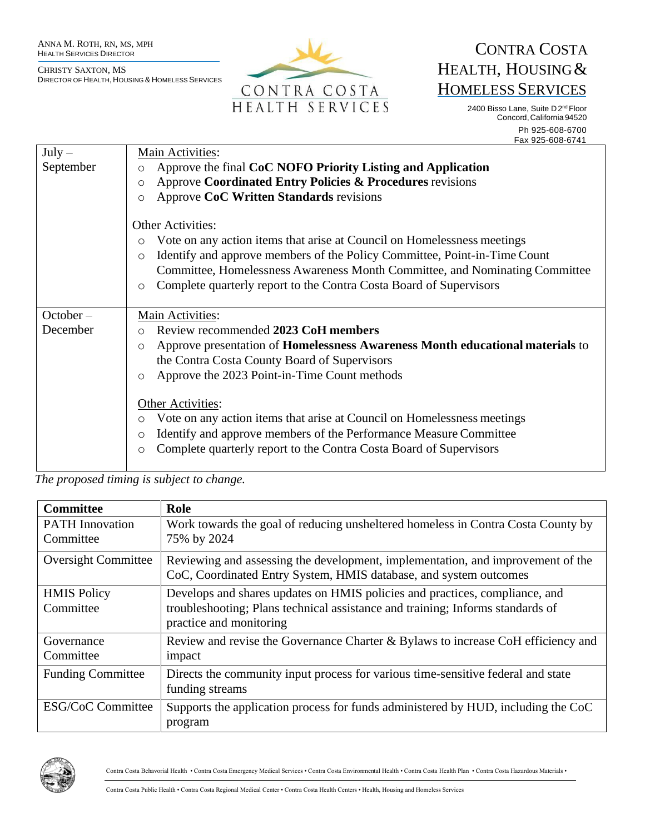CHRISTY SAXTON, MS DIRECTOR OF HEALTH, HOUSING & HOMELESS SERVICES



## CONTRA COSTA HEALTH, HOUSING& HOMELESS SERVICES

2400 Bisso Lane, Suite D 2<sup>nd</sup> Floor Concord, California 94520 Ph 925-608-6700 Fax 925-608-6741

| $July -$<br>September   | Main Activities:<br>Approve the final CoC NOFO Priority Listing and Application<br>$\circ$<br>Approve Coordinated Entry Policies & Procedures revisions<br>$\circ$<br>Approve CoC Written Standards revisions<br>$\circ$<br><b>Other Activities:</b>                                                                                                                                                                                                                                                                                        |
|-------------------------|---------------------------------------------------------------------------------------------------------------------------------------------------------------------------------------------------------------------------------------------------------------------------------------------------------------------------------------------------------------------------------------------------------------------------------------------------------------------------------------------------------------------------------------------|
|                         | Vote on any action items that arise at Council on Homelessness meetings<br>$\circ$<br>Identify and approve members of the Policy Committee, Point-in-Time Count<br>$\circ$<br>Committee, Homelessness Awareness Month Committee, and Nominating Committee<br>Complete quarterly report to the Contra Costa Board of Supervisors<br>O                                                                                                                                                                                                        |
| $October -$<br>December | Main Activities:<br>Review recommended 2023 CoH members<br>$\Omega$<br>Approve presentation of <b>Homelessness Awareness Month educational materials</b> to<br>O<br>the Contra Costa County Board of Supervisors<br>Approve the 2023 Point-in-Time Count methods<br>$\circ$<br>Other Activities:<br>Vote on any action items that arise at Council on Homelessness meetings<br>$\circ$<br>Identify and approve members of the Performance Measure Committee<br>O<br>Complete quarterly report to the Contra Costa Board of Supervisors<br>O |

*The proposed timing is subject to change.*

| <b>Committee</b>                    | Role                                                                                                                                                                                     |
|-------------------------------------|------------------------------------------------------------------------------------------------------------------------------------------------------------------------------------------|
| <b>PATH</b> Innovation<br>Committee | Work towards the goal of reducing unsheltered homeless in Contra Costa County by<br>75% by 2024                                                                                          |
| <b>Oversight Committee</b>          | Reviewing and assessing the development, implementation, and improvement of the<br>CoC, Coordinated Entry System, HMIS database, and system outcomes                                     |
| <b>HMIS Policy</b><br>Committee     | Develops and shares updates on HMIS policies and practices, compliance, and<br>troubleshooting; Plans technical assistance and training; Informs standards of<br>practice and monitoring |
| Governance<br>Committee             | Review and revise the Governance Charter & Bylaws to increase CoH efficiency and<br>impact                                                                                               |
| <b>Funding Committee</b>            | Directs the community input process for various time-sensitive federal and state<br>funding streams                                                                                      |
| <b>ESG/CoC Committee</b>            | Supports the application process for funds administered by HUD, including the CoC<br>program                                                                                             |



Contra Costa Behavorial Health • Contra Costa Emergency Medical Services • Contra Costa Environmental Health • Contra Costa Health Plan • Contra Costa Hazardous Materials •